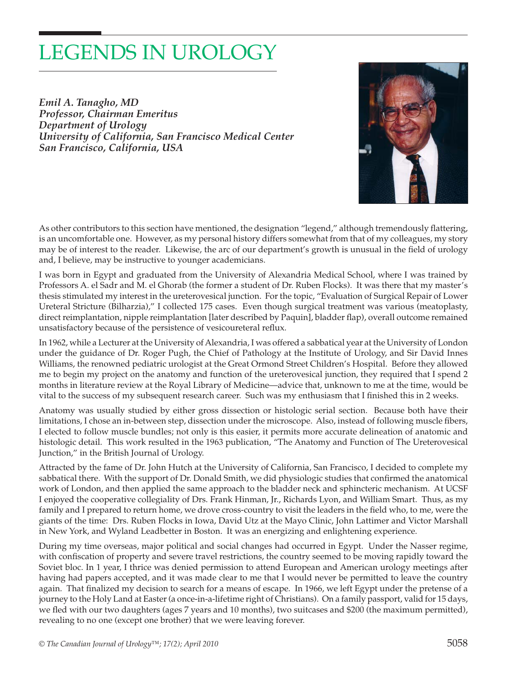# LEGENDS IN UROLOGY

*Emil A. Tanagho, MD Professor, Chairman Emeritus Department of Urology University of California, San Francisco Medical Center San Francisco, California, USA* 



As other contributors to this section have mentioned, the designation "legend," although tremendously flattering, is an uncomfortable one. However, as my personal history differs somewhat from that of my colleagues, my story may be of interest to the reader. Likewise, the arc of our department's growth is unusual in the field of urology and, I believe, may be instructive to younger academicians.

I was born in Egypt and graduated from the University of Alexandria Medical School, where I was trained by Professors A. el Sadr and M. el Ghorab (the former a student of Dr. Ruben Flocks). It was there that my master's thesis stimulated my interest in the ureterovesical junction. For the topic, "Evaluation of Surgical Repair of Lower Ureteral Stricture (Bilharzia)," I collected 175 cases. Even though surgical treatment was various (meatoplasty, direct reimplantation, nipple reimplantation [later described by Paquin], bladder flap), overall outcome remained unsatisfactory because of the persistence of vesicoureteral reflux.

In 1962, while a Lecturer at the University of Alexandria, I was offered a sabbatical year at the University of London under the guidance of Dr. Roger Pugh, the Chief of Pathology at the Institute of Urology, and Sir David Innes Williams, the renowned pediatric urologist at the Great Ormond Street Children's Hospital. Before they allowed me to begin my project on the anatomy and function of the ureterovesical junction, they required that I spend 2 months in literature review at the Royal Library of Medicine—advice that, unknown to me at the time, would be vital to the success of my subsequent research career. Such was my enthusiasm that I finished this in 2 weeks.

Anatomy was usually studied by either gross dissection or histologic serial section. Because both have their limitations, I chose an in-between step, dissection under the microscope. Also, instead of following muscle fibers, I elected to follow muscle bundles; not only is this easier, it permits more accurate delineation of anatomic and histologic detail. This work resulted in the 1963 publication, "The Anatomy and Function of The Ureterovesical Junction," in the British Journal of Urology.

Attracted by the fame of Dr. John Hutch at the University of California, San Francisco, I decided to complete my sabbatical there. With the support of Dr. Donald Smith, we did physiologic studies that confirmed the anatomical work of London, and then applied the same approach to the bladder neck and sphincteric mechanism. At UCSF I enjoyed the cooperative collegiality of Drs. Frank Hinman, Jr., Richards Lyon, and William Smart. Thus, as my family and I prepared to return home, we drove cross-country to visit the leaders in the field who, to me, were the giants of the time: Drs. Ruben Flocks in Iowa, David Utz at the Mayo Clinic, John Lattimer and Victor Marshall in New York, and Wyland Leadbetter in Boston. It was an energizing and enlightening experience.

During my time overseas, major political and social changes had occurred in Egypt. Under the Nasser regime, with confiscation of property and severe travel restrictions, the country seemed to be moving rapidly toward the Soviet bloc. In 1 year, I thrice was denied permission to attend European and American urology meetings after having had papers accepted, and it was made clear to me that I would never be permitted to leave the country again. That finalized my decision to search for a means of escape. In 1966, we left Egypt under the pretense of a journey to the Holy Land at Easter (a once-in-a-lifetime right of Christians). On a family passport, valid for 15 days, we fled with our two daughters (ages 7 years and 10 months), two suitcases and \$200 (the maximum permitted), revealing to no one (except one brother) that we were leaving forever.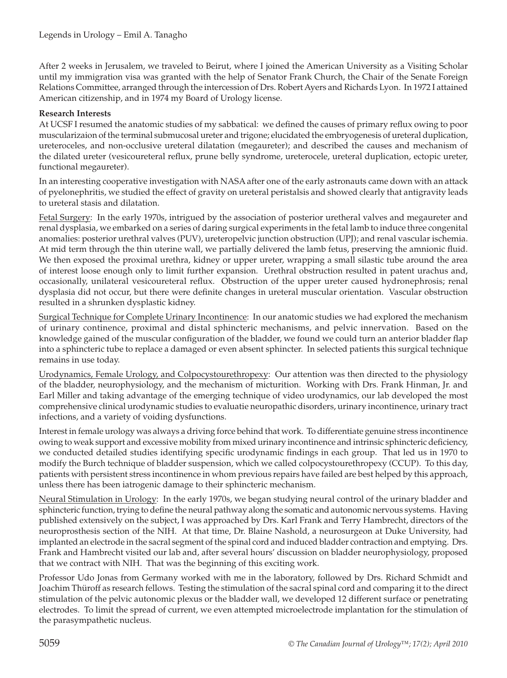After 2 weeks in Jerusalem, we traveled to Beirut, where I joined the American University as a Visiting Scholar until my immigration visa was granted with the help of Senator Frank Church, the Chair of the Senate Foreign Relations Committee, arranged through the intercession of Drs. Robert Ayers and Richards Lyon. In 1972 I attained American citizenship, and in 1974 my Board of Urology license.

## **Research Interests**

At UCSF I resumed the anatomic studies of my sabbatical: we defined the causes of primary reflux owing to poor muscularizaion of the terminal submucosal ureter and trigone; elucidated the embryogenesis of ureteral duplication, ureteroceles, and non-occlusive ureteral dilatation (megaureter); and described the causes and mechanism of the dilated ureter (vesicoureteral reflux, prune belly syndrome, ureterocele, ureteral duplication, ectopic ureter, functional megaureter).

In an interesting cooperative investigation with NASA after one of the early astronauts came down with an attack of pyelonephritis, we studied the effect of gravity on ureteral peristalsis and showed clearly that antigravity leads to ureteral stasis and dilatation.

Fetal Surgery: In the early 1970s, intrigued by the association of posterior uretheral valves and megaureter and renal dysplasia, we embarked on a series of daring surgical experiments in the fetal lamb to induce three congenital anomalies: posterior urethral valves (PUV), ureteropelvic junction obstruction (UPJ); and renal vascular ischemia. At mid term through the thin uterine wall, we partially delivered the lamb fetus, preserving the amnionic fluid. We then exposed the proximal urethra, kidney or upper ureter, wrapping a small silastic tube around the area of interest loose enough only to limit further expansion. Urethral obstruction resulted in patent urachus and, occasionally, unilateral vesicoureteral reflux. Obstruction of the upper ureter caused hydronephrosis; renal dysplasia did not occur, but there were definite changes in ureteral muscular orientation. Vascular obstruction resulted in a shrunken dysplastic kidney.

Surgical Technique for Complete Urinary Incontinence: In our anatomic studies we had explored the mechanism of urinary continence, proximal and distal sphincteric mechanisms, and pelvic innervation. Based on the knowledge gained of the muscular configuration of the bladder, we found we could turn an anterior bladder flap into a sphincteric tube to replace a damaged or even absent sphincter. In selected patients this surgical technique remains in use today.

Urodynamics, Female Urology, and Colpocystourethropexy: Our attention was then directed to the physiology of the bladder, neurophysiology, and the mechanism of micturition. Working with Drs. Frank Hinman, Jr. and Earl Miller and taking advantage of the emerging technique of video urodynamics, our lab developed the most comprehensive clinical urodynamic studies to evaluatie neuropathic disorders, urinary incontinence, urinary tract infections, and a variety of voiding dysfunctions.

Interest in female urology was always a driving force behind that work. To differentiate genuine stress incontinence owing to weak support and excessive mobility from mixed urinary incontinence and intrinsic sphincteric deficiency, we conducted detailed studies identifying specific urodynamic findings in each group. That led us in 1970 to modify the Burch technique of bladder suspension, which we called colpocystourethropexy (CCUP). To this day, patients with persistent stress incontinence in whom previous repairs have failed are best helped by this approach, unless there has been iatrogenic damage to their sphincteric mechanism.

Neural Stimulation in Urology: In the early 1970s, we began studying neural control of the urinary bladder and sphincteric function, trying to define the neural pathway along the somatic and autonomic nervous systems. Having published extensively on the subject, I was approached by Drs. Karl Frank and Terry Hambrecht, directors of the neuroprosthesis section of the NIH. At that time, Dr. Blaine Nashold, a neurosurgeon at Duke University, had implanted an electrode in the sacral segment of the spinal cord and induced bladder contraction and emptying. Drs. Frank and Hambrecht visited our lab and, after several hours' discussion on bladder neurophysiology, proposed that we contract with NIH. That was the beginning of this exciting work.

Professor Udo Jonas from Germany worked with me in the laboratory, followed by Drs. Richard Schmidt and Joachim Thüroff as research fellows. Testing the stimulation of the sacral spinal cord and comparing it to the direct stimulation of the pelvic autonomic plexus or the bladder wall, we developed 12 different surface or penetrating electrodes. To limit the spread of current, we even attempted microelectrode implantation for the stimulation of the parasympathetic nucleus.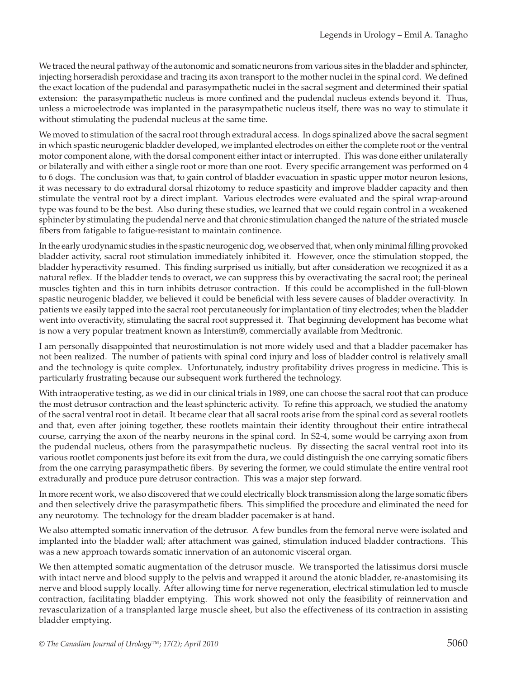We traced the neural pathway of the autonomic and somatic neurons from various sites in the bladder and sphincter, injecting horseradish peroxidase and tracing its axon transport to the mother nuclei in the spinal cord. We defined the exact location of the pudendal and parasympathetic nuclei in the sacral segment and determined their spatial extension: the parasympathetic nucleus is more confined and the pudendal nucleus extends beyond it. Thus, unless a microelectrode was implanted in the parasympathetic nucleus itself, there was no way to stimulate it without stimulating the pudendal nucleus at the same time.

We moved to stimulation of the sacral root through extradural access. In dogs spinalized above the sacral segment in which spastic neurogenic bladder developed, we implanted electrodes on either the complete root or the ventral motor component alone, with the dorsal component either intact or interrupted. This was done either unilaterally or bilaterally and with either a single root or more than one root. Every specific arrangement was performed on 4 to 6 dogs. The conclusion was that, to gain control of bladder evacuation in spastic upper motor neuron lesions, it was necessary to do extradural dorsal rhizotomy to reduce spasticity and improve bladder capacity and then stimulate the ventral root by a direct implant. Various electrodes were evaluated and the spiral wrap-around type was found to be the best. Also during these studies, we learned that we could regain control in a weakened sphincter by stimulating the pudendal nerve and that chronic stimulation changed the nature of the striated muscle fibers from fatigable to fatigue-resistant to maintain continence.

In the early urodynamic studies in the spastic neurogenic dog, we observed that, when only minimal filling provoked bladder activity, sacral root stimulation immediately inhibited it. However, once the stimulation stopped, the bladder hyperactivity resumed. This finding surprised us initially, but after consideration we recognized it as a natural reflex. If the bladder tends to overact, we can suppress this by overactivating the sacral root; the perineal muscles tighten and this in turn inhibits detrusor contraction. If this could be accomplished in the full-blown spastic neurogenic bladder, we believed it could be beneficial with less severe causes of bladder overactivity. In patients we easily tapped into the sacral root percutaneously for implantation of tiny electrodes; when the bladder went into overactivity, stimulating the sacral root suppressed it. That beginning development has become what is now a very popular treatment known as Interstim®, commercially available from Medtronic.

I am personally disappointed that neurostimulation is not more widely used and that a bladder pacemaker has not been realized. The number of patients with spinal cord injury and loss of bladder control is relatively small and the technology is quite complex. Unfortunately, industry profitability drives progress in medicine. This is particularly frustrating because our subsequent work furthered the technology.

With intraoperative testing, as we did in our clinical trials in 1989, one can choose the sacral root that can produce the most detrusor contraction and the least sphincteric activity. To refine this approach, we studied the anatomy of the sacral ventral root in detail. It became clear that all sacral roots arise from the spinal cord as several rootlets and that, even after joining together, these rootlets maintain their identity throughout their entire intrathecal course, carrying the axon of the nearby neurons in the spinal cord. In S2-4, some would be carrying axon from the pudendal nucleus, others from the parasympathetic nucleus. By dissecting the sacral ventral root into its various rootlet components just before its exit from the dura, we could distinguish the one carrying somatic fibers from the one carrying parasympathetic fibers. By severing the former, we could stimulate the entire ventral root extradurally and produce pure detrusor contraction. This was a major step forward.

In more recent work, we also discovered that we could electrically block transmission along the large somatic fibers and then selectively drive the parasympathetic fibers. This simplified the procedure and eliminated the need for any neurotomy. The technology for the dream bladder pacemaker is at hand.

We also attempted somatic innervation of the detrusor. A few bundles from the femoral nerve were isolated and implanted into the bladder wall; after attachment was gained, stimulation induced bladder contractions. This was a new approach towards somatic innervation of an autonomic visceral organ.

We then attempted somatic augmentation of the detrusor muscle. We transported the latissimus dorsi muscle with intact nerve and blood supply to the pelvis and wrapped it around the atonic bladder, re-anastomising its nerve and blood supply locally. After allowing time for nerve regeneration, electrical stimulation led to muscle contraction, facilitating bladder emptying. This work showed not only the feasibility of reinnervation and revascularization of a transplanted large muscle sheet, but also the effectiveness of its contraction in assisting bladder emptying.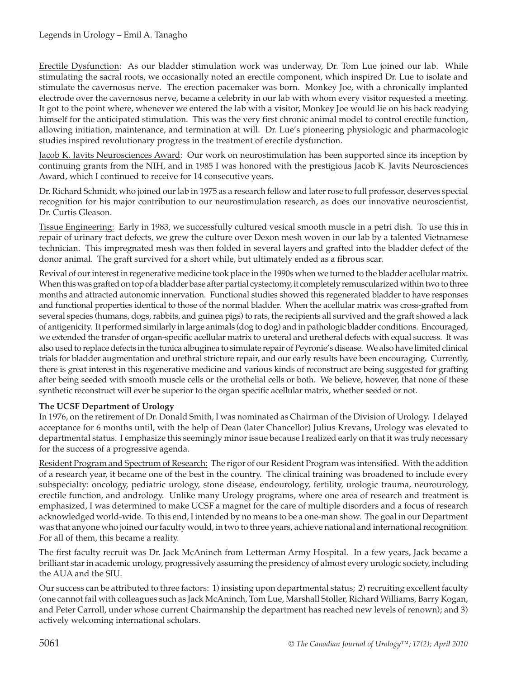Erectile Dysfunction: As our bladder stimulation work was underway, Dr. Tom Lue joined our lab. While stimulating the sacral roots, we occasionally noted an erectile component, which inspired Dr. Lue to isolate and stimulate the cavernosus nerve. The erection pacemaker was born. Monkey Joe, with a chronically implanted electrode over the cavernosus nerve, became a celebrity in our lab with whom every visitor requested a meeting. It got to the point where, whenever we entered the lab with a visitor, Monkey Joe would lie on his back readying himself for the anticipated stimulation. This was the very first chronic animal model to control erectile function, allowing initiation, maintenance, and termination at will. Dr. Lue's pioneering physiologic and pharmacologic studies inspired revolutionary progress in the treatment of erectile dysfunction.

Jacob K. Javits Neurosciences Award: Our work on neurostimulation has been supported since its inception by continuing grants from the NIH, and in 1985 I was honored with the prestigious Jacob K. Javits Neurosciences Award, which I continued to receive for 14 consecutive years.

Dr. Richard Schmidt, who joined our lab in 1975 as a research fellow and later rose to full professor, deserves special recognition for his major contribution to our neurostimulation research, as does our innovative neuroscientist, Dr. Curtis Gleason.

Tissue Engineering: Early in 1983, we successfully cultured vesical smooth muscle in a petri dish. To use this in repair of urinary tract defects, we grew the culture over Dexon mesh woven in our lab by a talented Vietnamese technician. This impregnated mesh was then folded in several layers and grafted into the bladder defect of the donor animal. The graft survived for a short while, but ultimately ended as a fibrous scar.

Revival of our interest in regenerative medicine took place in the 1990s when we turned to the bladder acellular matrix. When this was grafted on top of a bladder base after partial cystectomy, it completely remuscularized within two to three months and attracted autonomic innervation. Functional studies showed this regenerated bladder to have responses and functional properties identical to those of the normal bladder. When the acellular matrix was cross-grafted from several species (humans, dogs, rabbits, and guinea pigs) to rats, the recipients all survived and the graft showed a lack of antigenicity. It performed similarly in large animals (dog to dog) and in pathologic bladder conditions. Encouraged, we extended the transfer of organ-specific acellular matrix to ureteral and uretheral defects with equal success. It was also used to replace defects in the tunica albuginea to simulate repair of Peyronie's disease. We also have limited clinical trials for bladder augmentation and urethral stricture repair, and our early results have been encouraging. Currently, there is great interest in this regenerative medicine and various kinds of reconstruct are being suggested for grafting after being seeded with smooth muscle cells or the urothelial cells or both. We believe, however, that none of these synthetic reconstruct will ever be superior to the organ specific acellular matrix, whether seeded or not.

### **The UCSF Department of Urology**

In 1976, on the retirement of Dr. Donald Smith, I was nominated as Chairman of the Division of Urology. I delayed acceptance for 6 months until, with the help of Dean (later Chancellor) Julius Krevans, Urology was elevated to departmental status. I emphasize this seemingly minor issue because I realized early on that it was truly necessary for the success of a progressive agenda.

Resident Program and Spectrum of Research: The rigor of our Resident Program was intensified. With the addition of a research year, it became one of the best in the country. The clinical training was broadened to include every subspecialty: oncology, pediatric urology, stone disease, endourology, fertility, urologic trauma, neurourology, erectile function, and andrology. Unlike many Urology programs, where one area of research and treatment is emphasized, I was determined to make UCSF a magnet for the care of multiple disorders and a focus of research acknowledged world-wide. To this end, I intended by no means to be a one-man show. The goal in our Department was that anyone who joined our faculty would, in two to three years, achieve national and international recognition. For all of them, this became a reality.

The first faculty recruit was Dr. Jack McAninch from Letterman Army Hospital. In a few years, Jack became a brilliant star in academic urology, progressively assuming the presidency of almost every urologic society, including the AUA and the SIU.

Our success can be attributed to three factors: 1) insisting upon departmental status; 2) recruiting excellent faculty (one cannot fail with colleagues such as Jack McAninch, Tom Lue, Marshall Stoller, Richard Williams, Barry Kogan, and Peter Carroll, under whose current Chairmanship the department has reached new levels of renown); and 3) actively welcoming international scholars.